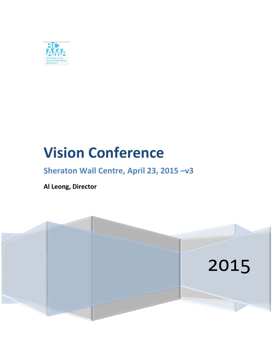

# **Vision Conference**

# **Sheraton Wall Centre, April 23, 2015 –v3**

**Al Leong, Director**

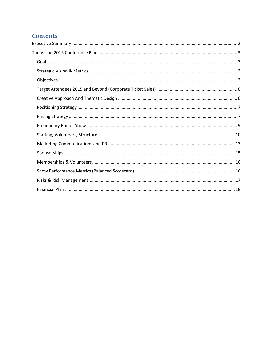# **Contents**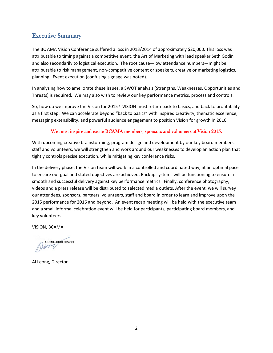#### Executive Summary

The BC AMA Vision Conference suffered a loss in 2013/2014 of approximately \$20,000. This loss was attributable to timing against a competitive event, the Art of Marketing with lead speaker Seth Godin and also secondarily to logistical execution. The root cause—low attendance numbers—might be attributable to risk management, non‐competitive content or speakers, creative or marketing logistics, planning. Event execution (confusing signage was noted).

In analyzing how to ameliorate these issues, a SWOT analysis (Strengths, Weaknesses, Opportunities and Threats) is required. We may also wish to review our key performance metrics, process and controls.

So, how do we improve the Vision for 2015? VISION must return back to basics, and back to profitability as a first step. We can accelerate beyond "back to basics" with inspired creativity, thematic excellence, messaging extensibility, and powerful audience engagement to position Vision for growth in 2016.

#### We must inspire and excite BCAMA members, sponsors and volunteers at Vision 2015.

With upcoming creative brainstorming, program design and development by our key board members, staff and volunteers, we will strengthen and work around our weaknesses to develop an action plan that tightly controls precise execution, while mitigating key conference risks.

In the delivery phase, the Vision team will work in a controlled and coordinated way, at an optimal pace to ensure our goal and stated objectives are achieved. Backup systems will be functioning to ensure a smooth and successful delivery against key performance metrics. Finally, conference photography, videos and a press release will be distributed to selected media outlets. After the event, we will survey our attendees, sponsors, partners, volunteers, staff and board in order to learn and improve upon the 2015 performance for 2016 and beyond. An event recap meeting will be held with the executive team and a small informal celebration event will be held for participants, participating board members, and key volunteers.

VISION, BCAMA

AL LEONG-DIGITAL SIGNATURE  $h097/$ 

Al Leong, Director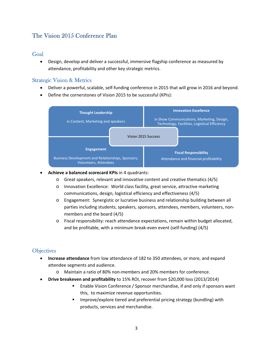## The Vision 2015 Conference Plan

#### Goal

 Design, develop and deliver a successful, immersive flagship conference as measured by attendance, profitability and other key strategic metrics.

#### Strategic Vision & Metrics

- Deliver a powerful, scalable, self‐funding conference in 2015 that will grow in 2016 and beyond.
- Define the cornerstones of Vision 2015 to be successful (KPIs):



#### **Achieve a balanced scorecard KPIs** in 4 quadrants:

- o Great speakers, relevant and innovative content and creative thematics (4/5)
- o Innovation Excellence: World class facility, great service, attractive marketing communications, design, logistical efficiency and effectiveness (4/5)
- o Engagement: Synergistic or lucrative business and relationship building between all parties including students, speakers, sponsors, attendees, members, volunteers, non‐ members and the board (4/5)
- o Fiscal responsibility: reach attendance expectations, remain within budget allocated, and be profitable, with a minimum break‐even event (self‐funding) (4/5)

## **Objectives**

- **Increase attendance** from low attendance of 182 to 350 attendees, or more, and expand attendee segments and audience.
	- o Maintain a ratio of 80% non‐members and 20% members for conference.
- **Drive breakeven and profitability** to 15% ROI, recover from \$20,000 loss (2013/2014)
	- Enable Vision Conference / Sponsor merchandise, if and only if sponsors want this, to maximize revenue opportunities.
	- Improve/explore tiered and preferential pricing strategy (bundling) with products, services and merchandise.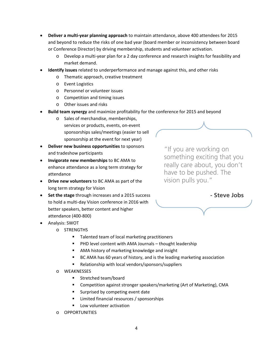- **Deliver a multi‐year planning approach** to maintain attendance, above 400 attendees for 2015 and beyond to reduce the risks of one bad year (board member or inconsistency between board or Conference Director) by driving membership, students and volunteer activation.
	- o Develop a multi‐year plan for a 2 day conference and research insights for feasibility and market demand.
- **Identify issues** related to underperformance and manage against this, and other risks
	- o Thematic approach, creative treatment
	- o Event Logistics
	- o Personnel or volunteer issues
	- o Competition and timing issues
	- o Other issues and risks
- **Build team synergy** and maximize profitability for the conference for 2015 and beyond
	- o Sales of merchandise, memberships, services or products, events, on‐event sponsorships sales/meetings (easier to sell sponsorship at the event for next year)
- **Deliver new business opportunities** to sponsors and tradeshow participants
- **Invigorate new memberships** to BC AMA to enhance attendance as a long term strategy for attendance
- **Drive new volunteers** to BC AMA as part of the long term strategy for Vision
- **Set the stage** through increases and a 2015 success to hold a multi‐day Vision conference in 2016 with better speakers, better content and higher attendance (400‐800)

Analysis: SWOT

- o STRENGTHS
	- Talented team of local marketing practitioners
	- PHD level content with AMA Journals thought leadership
	- AMA history of marketing knowledge and insight
	- BC AMA has 60 years of history, and is the leading marketing association
	- Relationship with local vendors/sponsors/suppliers
- o WEAKNESSES
	- **Stretched team/board**
	- Competition against stronger speakers/marketing (Art of Marketing), CMA
	- Surprised by competing event date
	- Limited financial resources / sponsorships
	- Low volunteer activation
- o OPPORTUNITIES

"If you are working on something exciting that you really care about, you don't have to be pushed. The vision pulls you."

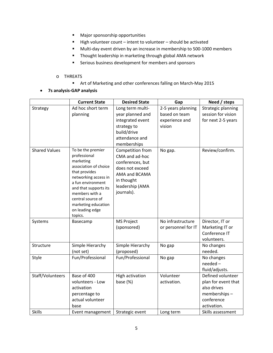- **Major sponsorship opportunities**
- High volunteer count intent to volunteer should be activated
- Multi-day event driven by an increase in membership to 500-1000 members
- **Thought leadership in marketing through global AMA network**
- **EXECT:** Serious business development for members and sponsors

#### o THREATS

- Art of Marketing and other conferences falling on March-May 2015
- **7s analysis‐GAP analysis**

|                      | <b>Current State</b>               | <b>Desired State</b>   | Gap                 | Need / steps        |
|----------------------|------------------------------------|------------------------|---------------------|---------------------|
| Strategy             | Ad hoc short term                  |                        | 2-5 years planning  | Strategic planning  |
|                      | planning                           | year planned and       | based on team       | session for vision  |
|                      |                                    | integrated event       | experience and      | for next 2-5 years  |
|                      |                                    | strategy to            | vision              |                     |
|                      |                                    | build/drive            |                     |                     |
|                      |                                    | attendance and         |                     |                     |
|                      |                                    | memberships            |                     |                     |
| <b>Shared Values</b> | To be the premier                  | Competition from       | No gap.             | Review/confirm.     |
|                      | professional                       | CMA and ad-hoc         |                     |                     |
|                      | marketing<br>association of choice | conferences, but       |                     |                     |
|                      | that provides                      | does not exceed        |                     |                     |
|                      | networking access in               | AMA and BCAMA          |                     |                     |
|                      | a fun environment                  | in thought             |                     |                     |
|                      | and that supports its              | leadership (AMA        |                     |                     |
|                      | members with a                     | journals).             |                     |                     |
|                      | central source of                  |                        |                     |                     |
|                      | marketing education                |                        |                     |                     |
|                      | on leading edge<br>topics.         |                        |                     |                     |
| Systems              | Basecamp                           | <b>MS Project</b>      | No infrastructure   | Director, IT or     |
|                      |                                    | (sponsored)            | or personnel for IT | Marketing IT or     |
|                      |                                    |                        |                     | Conference IT       |
|                      |                                    |                        |                     | volunteers.         |
| Structure            | Simple Hierarchy                   | Simple Hierarchy       | No gap              | No changes          |
|                      | (not set)                          | (proposed)             |                     | needed.             |
| Style                | Fun/Professional                   | Fun/Professional       | No gap              | No changes          |
|                      |                                    |                        |                     | needed-             |
|                      |                                    |                        |                     | fluid/adjusts.      |
| Staff/Volunteers     | Base of 400                        | <b>High activation</b> | Volunteer           | Defined volunteer   |
|                      | volunteers - Low                   | base $(%)$             | activation.         | plan for event that |
|                      | activation                         |                        |                     | also drives         |
|                      | percentage to                      |                        |                     | memberships-        |
|                      | actual volunteer                   |                        |                     | conference          |
|                      | base                               |                        |                     | activation.         |
| <b>Skills</b>        | Event management                   | Strategic event        | Long term           | Skills assessment   |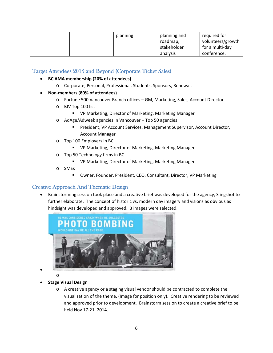|  | planning | planning and | required for      |
|--|----------|--------------|-------------------|
|  |          | roadmap,     | volunteers/growth |
|  |          | stakeholder  | for a multi-day   |
|  |          | analysis     | conference.       |

#### Target Attendees 2015 and Beyond (Corporate Ticket Sales)

- **BC AMA membership (20% of attendees)**
	- o Corporate, Personal, Professional, Students, Sponsors, Renewals
- **Non‐members (80% of attendees)**
	- o Fortune 500 Vancouver Branch offices GM, Marketing, Sales, Account Director
	- o BIV Top 100 list
		- VP Marketing, Director of Marketing, Marketing Manager
	- o AdAge/Adweek agencies in Vancouver Top 50 agencies
		- **President, VP Account Services, Management Supervisor, Account Director,** Account Manager
	- o Top 100 Employers in BC
		- VP Marketing, Director of Marketing, Marketing Manager
	- o Top 50 Technology firms in BC
		- VP Marketing, Director of Marketing, Marketing Manager
	- o SMEs
		- Owner, Founder, President, CEO, Consultant, Director, VP Marketing

#### Creative Approach And Thematic Design

 Brainstorming session took place and a creative brief was developed for the agency, Slingshot to further elaborate. The concept of historic vs. modern day imagery and visions as obvious as hindsight was developed and approved. 3 images were selected.



 $\bullet$ 

**Stage Visual Design**

o

o A creative agency or a staging visual vendor should be contracted to complete the visualization of the theme. (Image for position only). Creative rendering to be reviewed and approved prior to development. Brainstorm session to create a creative brief to be held Nov 17‐21, 2014.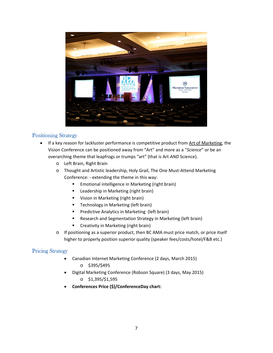

#### Positioning Strategy

- If a key reason for lackluster performance is competitive product from Art of Marketing, the Vision Conference can be positioned away from "Art" and more as a "*Science*" or be an overarching theme that leapfrogs or trumps "art" (that is Art *AND* Science).
	- o Left Brain, Right Brain
	- o Thought and Artistic leadership, Holy Grail, The One Must‐Attend Marketing Conference: ‐ extending the theme in this way:
		- **Emotional intelligence in Marketing (right brain)**
		- **E** Leadership in Marketing (right brain)
		- **Vision in Marketing (right brain)**
		- **Technology in Marketing (left brain)**
		- **Predictive Analytics in Marketing (left brain)**
		- **Research and Segmentation Strategy in Marketing (left brain)**
		- **E** Creativity in Marketing (right brain)
	- o If positioning as a superior product, then BC AMA must price match, or price itself higher to properly position superior quality (speaker fees/costs/hotel/F&B etc.)

#### Pricing Strategy

- Canadian Internet Marketing Conference (2 days, March 2015)
	- o \$395/\$495
- Digital Marketing Conference (Robson Square) (3 days, May 2015)
	- o \$1,395/\$1,595
- **Conferences Price (\$)/ConferenceDay chart:**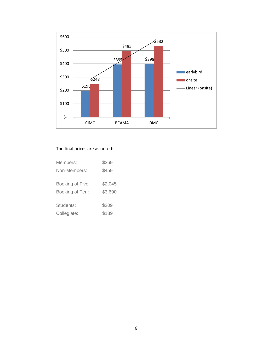

#### The final prices are as noted:

| \$369              |
|--------------------|
| \$459              |
| \$2,045<br>\$3,690 |
| \$209<br>\$189     |
|                    |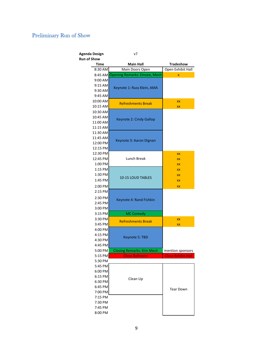# Preliminary Run of Show

| <b>Agenda Design</b> | ν7                                   |                           |  |  |
|----------------------|--------------------------------------|---------------------------|--|--|
| <b>Run of Show</b>   |                                      |                           |  |  |
| <b>Time</b>          | <b>Main Hall</b>                     | <b>Tradeshow</b>          |  |  |
| 8:30 AM              | Main Doors Open                      | Open Exhibit Hall         |  |  |
|                      | 8:45 AM Opening Remarks: Emcee, Mech | X                         |  |  |
| 9:00 AM              |                                      |                           |  |  |
| 9:15 AM              | Keynote 1: Russ Klein, AMA           |                           |  |  |
| 9:30 AM              |                                      |                           |  |  |
| 9:45 AM              |                                      |                           |  |  |
| 10:00 AM             | <b>Refreshments Break</b>            | XX                        |  |  |
| 10:15 AM             |                                      | XX                        |  |  |
| 10:30 AM             |                                      |                           |  |  |
| 10:45 AM             | Keynote 2: Cindy Gallop              |                           |  |  |
| 11:00 AM             |                                      |                           |  |  |
| 11:15 AM             |                                      |                           |  |  |
| 11:30 AM             |                                      |                           |  |  |
| 11:45 AM             | Keynote 3: Aaron Dignan              |                           |  |  |
| 12:00 PM             |                                      |                           |  |  |
| 12:15 PM             |                                      |                           |  |  |
| 12:30 PM             |                                      | XX                        |  |  |
| 12:45 PM             | Lunch Break                          | XX                        |  |  |
| 1:00 PM              |                                      | XX                        |  |  |
| 1:15 PM              |                                      | XX                        |  |  |
| 1:30 PM              | <b>10-15 LOUD TABLES</b>             | XX                        |  |  |
| 1:45 PM              |                                      | XX                        |  |  |
| 2:00 PM              |                                      | XX                        |  |  |
| 2:15 PM              |                                      |                           |  |  |
| 2:30 PM              | Keynote 4: Rand Fishkin              |                           |  |  |
| 2:45 PM              |                                      |                           |  |  |
| 3:00 PM              |                                      |                           |  |  |
| 3:15 PM              | <b>MC Comedy</b>                     |                           |  |  |
| 3:30 PM              | <b>Refreshments Break</b>            | XX                        |  |  |
| 3:45 PM              |                                      | XX                        |  |  |
| 4:00 PM              |                                      |                           |  |  |
| 4:15 PM              | Keynote 5: TBD                       |                           |  |  |
| 4:30 PM              |                                      |                           |  |  |
| 4:45 PM              |                                      |                           |  |  |
| 5:00 PM              | <b>Closing Remarks: Kim Mech</b>     | mention sponsors          |  |  |
| 5:15 PM              | <b>Close Ballroom</b>                | <b>Close Exhibit Hall</b> |  |  |
| 5:30 PM              |                                      |                           |  |  |
| 5:45 PM              |                                      |                           |  |  |
| 6:00 PM              |                                      |                           |  |  |
| 6:15 PM              | Clean Up                             |                           |  |  |
| 6:30 PM              |                                      |                           |  |  |
| 6:45 PM              |                                      | <b>Tear Down</b>          |  |  |
| 7:00 PM              |                                      |                           |  |  |
| 7:15 PM              |                                      |                           |  |  |
| 7:30 PM              |                                      |                           |  |  |
| 7:45 PM              |                                      |                           |  |  |
| 8:00 PM              |                                      |                           |  |  |

9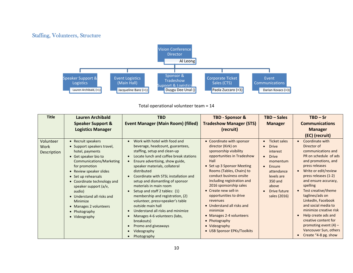### Staffing, Volunteers, Structure



Total operational volunteer team <sup>=</sup> 14

| <b>Title</b>                     | Lauren Archibald<br><b>Speaker Support &amp;</b><br><b>Logistics Manager</b>                                                                                                                                                                                                                                                                                       | <b>TBD</b><br><b>Event Manager (Main Room) (filled)</b>                                                                                                                                                                                                                                                                                                                                                                                                                                                                                                                                                                                             | <b>TBD - Sponsor &amp;</b><br><b>Tradeshow Manager (STS)</b><br>(recruit)                                                                                                                                                                                                                                                                                                                                                                                          | <b>TBD - Sales</b><br><b>Manager</b>                                                                                                                                                                                      | $TBD - Sr$<br><b>Communications</b><br><b>Manager</b><br>(EC) (recruit)                                                                                                                                                                                                                                                                                                                                                                                                          |
|----------------------------------|--------------------------------------------------------------------------------------------------------------------------------------------------------------------------------------------------------------------------------------------------------------------------------------------------------------------------------------------------------------------|-----------------------------------------------------------------------------------------------------------------------------------------------------------------------------------------------------------------------------------------------------------------------------------------------------------------------------------------------------------------------------------------------------------------------------------------------------------------------------------------------------------------------------------------------------------------------------------------------------------------------------------------------------|--------------------------------------------------------------------------------------------------------------------------------------------------------------------------------------------------------------------------------------------------------------------------------------------------------------------------------------------------------------------------------------------------------------------------------------------------------------------|---------------------------------------------------------------------------------------------------------------------------------------------------------------------------------------------------------------------------|----------------------------------------------------------------------------------------------------------------------------------------------------------------------------------------------------------------------------------------------------------------------------------------------------------------------------------------------------------------------------------------------------------------------------------------------------------------------------------|
| Volunteer<br>Work<br>Description | • Recruit speakers<br>• Support speakers travel,<br>hotel, payments<br>• Get speaker bio to<br>Communications/Marketing<br>for promotion<br>• Review speaker slides<br>• Set up rehearsals<br>• Coordinate technology and<br>speaker support (a/v,<br>audio)<br>• Understand all risks and<br>Minimize<br>• Manages 2 volunteers<br>• Photography<br>• Videography | Work with hotel with food and<br>$\bullet$<br>beverage, headcount, guarantees,<br>staffing, setup and clean-up<br>Locate lunch and coffee break stations<br>$\bullet$<br>Ensure advertising, show guide,<br>$\bullet$<br>speaker materials, collateral<br>distributed<br>Coordinate with STSL installation and<br>setup and dismantling of sponsor<br>materials in main room<br>Setup and staff 2 tables: (1)<br>membership and registration, (2)<br>volunteer, press+speaker's table<br>outside main hall<br>Understand all risks and minimize<br>Manages 4-6 volunteers (labs,<br>breakouts)<br>Promo and giveaways<br>Videography<br>Photography | • Coordinate with sponsor<br>director (Kirk) on<br>sponsorship visibility<br>opportunities in Tradeshow<br>Hall<br>• Set up 3 Sponsor Meeting<br>Rooms (Tables, Chairs) to<br>conduct business onsite<br>including registration and<br>2016 sponsorship sales<br>• Create new sell-in<br>opportunities to drive<br>revenues<br>• Understand all risks and<br>minimize<br>• Manages 2-4 volunteers<br>• Photography<br>• Videography<br>• USB Sponsor EPKs/Toolkits | <b>Ticket sales</b><br>$\bullet$<br><b>Drive</b><br>$\bullet$<br>interest<br><b>Drive</b><br>$\bullet$<br>momentum<br>Ensure<br>$\bullet$<br>attendance<br>levels are<br>350 and<br>above<br>Drive future<br>sales (2016) | Coordinate with<br>$\bullet$<br>Director of<br>communications and<br>PR on schedule of ads<br>and promotions, and<br>press releases<br>Write or edit/review<br>$\bullet$<br>press releases (1-2)<br>and ensure accuracy,<br>spelling<br>Test creative/theme<br>taglines/ads on<br>LinkedIn, Facebook<br>and social media to<br>minimize creative risk<br>Help create ads and<br>creative content for<br>promoting event $(4)$ –<br>Vancouver Sun, others<br>Create "4-8 pg. show |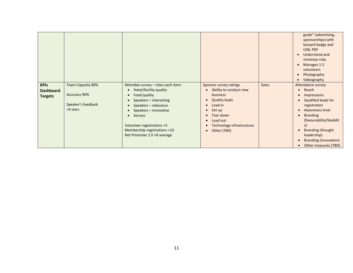|                                                   |                                                                                   |                                                                                                                                                                                              |                                                                                                                                            |              | guide" (advertising,<br>sponsorships) with<br>lanyard badge and<br>USB, PDF<br>Understand and<br>minimize risks<br>Manages 1-2<br>volunteers<br>Photography<br>Videography |
|---------------------------------------------------|-----------------------------------------------------------------------------------|----------------------------------------------------------------------------------------------------------------------------------------------------------------------------------------------|--------------------------------------------------------------------------------------------------------------------------------------------|--------------|----------------------------------------------------------------------------------------------------------------------------------------------------------------------------|
| <b>KPIs</b><br><b>Dashboard</b><br><b>Targets</b> | <b>Team Capacity 80%</b><br><b>Accuracy 90%</b><br>Speaker's feedback<br>>4 stars | Attendee survey - rates each item:<br>Hotel/facility quality<br>Food quality<br>$\bullet$<br>Speakers - interesting<br>Speakers - relevance<br>Speakers - innovative<br>Service<br>$\bullet$ | Sponsor survey ratings<br>Ability to conduct new<br><b>business</b><br><b>Quality leads</b><br>Load in<br>Set up<br>$\bullet$<br>Tear down | <b>Sales</b> | Attendance survey<br>Reach<br>$\bullet$<br><b>Impressions</b><br><b>Qualified leads for</b><br>registration<br><b>Awareness level</b><br><b>Branding</b><br>$\bullet$      |
|                                                   |                                                                                   | Volunteer registrations > 5<br>Membership registrations >10<br>Net Promoter 2.0 >8 average                                                                                                   | Load out<br>$\bullet$<br>Technology infrastructure<br>Other (TBD)<br>$\bullet$                                                             |              | (favourability/likabilit<br>y)<br><b>Branding (thought</b><br>leadership)<br><b>Branding (innovation)</b><br>Other measures (TBD)                                          |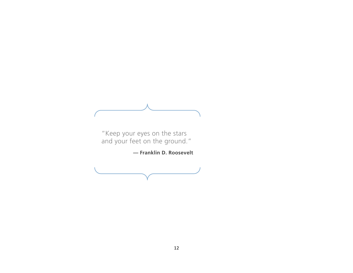"Keep your eyes on the stars and your feet on the ground."

**— Franklin D. Roosevelt**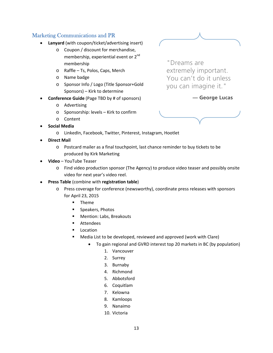#### Marketing Communications and PR

- **Lanyard** (with coupon/ticket/advertising insert)
	- o Coupon / discount for merchandise, membership, experiential event or 2<sup>nd</sup> membership
	- o Raffle Ts, Polos, Caps, Merch
	- o Name badge
	- o Sponsor Info / Logo (Title Sponsor+Gold Sponsors) – Kirk to determine
- **Conference Guide** (Page TBD by # of sponsors)
	- o Advertising
	- o Sponsorship: levels Kirk to confirm
	- o Content
- **Social Media**
	- o LinkedIn, Facebook, Twitter, Pinterest, Instagram, Hootlet
- **Direct Mail**
	- o Postcard mailer as a final touchpoint, last chance reminder to buy tickets to be produced by Kirk Marketing
- **Video** YouTube Teaser
	- o Find video production sponsor (The Agency) to produce video teaser and possibly onsite video for next year's video reel.
- **Press Table** (combine with **registration table**)
	- o Press coverage for conference (newsworthy), coordinate press releases with sponsors for April 23, 2015
		- **Theme**
		- Speakers, Photos
		- **Mention: Labs, Breakouts**
		- Attendees
		- **Location**
		- Media List to be developed, reviewed and approved (work with Clare)
			- To gain regional and GVRD interest top 20 markets in BC (by population)
				- 1. Vancouver
				- 2. Surrey
				- 3. Burnaby
				- 4. Richmond
				- 5. Abbotsford
				- 6. Coquitlam
				- 7. Kelowna
				- 8. Kamloops
				- 9. Nanaimo
				- 10. Victoria

"Dreams are extremely important. You can't do it unless you can imagine it."

**— George Lucas** 

#### 13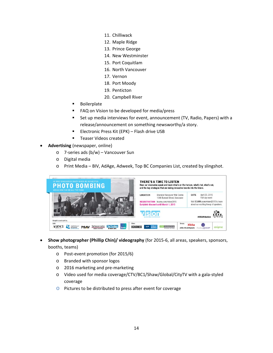- 11. Chilliwack
- 12. Maple Ridge
- 13. Prince George
- 14. New Westminster
- 15. Port Coquitlam
- 16. North Vancouver
- 17. Vernon
- 18. Port Moody
- 19. Penticton
- 20. Campbell River
- **Boilerplate**
- FAQ on Vision to be developed for media/press
- Set up media interviews for event, announcement (TV, Radio, Papers) with a release/announcement on something newsworthy/a story.
- **Electronic Press Kit (EPK) Flash drive USB**
- **Teaser Videos created**
- **Advertising** (newspaper, online)
	- o 7‐series ads (b/w) Vancouver Sun
	- o Digital media
	- o Print Media BIV, AdAge, Adweek, Top BC Companies List, created by slingshot.

| HE WAS CONSIDERED CRAZY WHEN HE SUGGESTED.<br><b>PHOTO BOMBING</b><br>WOULD ONE DAY BE ALL THE RAGE. | <b>THERE'S A TIME TO LISTEN</b><br>Hear our visionaries speak and learn what's on the horizon, what's hot, what's not,<br>and the key strategies that are taking innovative brands into the future.                                                                                                           |  |  |  |  |
|------------------------------------------------------------------------------------------------------|---------------------------------------------------------------------------------------------------------------------------------------------------------------------------------------------------------------------------------------------------------------------------------------------------------------|--|--|--|--|
|                                                                                                      | April 23, 2015<br><b>DATE</b><br>Sheraton Vancouver Wall Centre<br><b>LOCATION</b><br>Full-day event<br>1088 Burrard Street, Vancouver<br>Visit BCAMA.com/vision2015 to learn<br><b>REGISTRATION</b> bcama.com/vision2015<br>about our exciting lineup of speakers.<br>Earlybird discount until March 1, 2015 |  |  |  |  |
| Brought to you in part by                                                                            | vision<br><b>#BCAMAvisio</b>                                                                                                                                                                                                                                                                                  |  |  |  |  |
| Gold:<br>Silver:<br>THE VANCOUVER SUN<br><b>The Province</b>                                         | <b>Bronze:</b><br><b>Xibita</b><br><b>BCBUSINESS</b><br><b>HARKETING</b><br><b>QUEEN*</b><br>phillip chin photography<br>What and paint records feedur                                                                                                                                                        |  |  |  |  |

- **Show photographer (Phillip Chin)/ videography** (for 2015‐6, all areas, speakers, sponsors, booths, teams)
	- o Post‐event promotion (for 2015/6)
	- o Branded with sponsor logos
	- o 2016 marketing and pre‐marketing
	- o Video used for media coverage/CTV/BC1/Shaw/Global/CityTV with a gala‐styled coverage
	- o Pictures to be distributed to press after event for coverage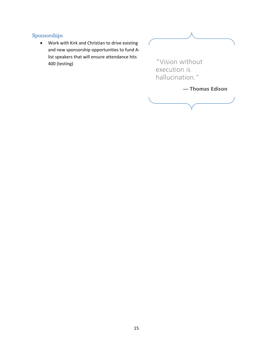## Sponsorships

 Work with Kirk and Christian to drive existing and new sponsorship opportunities to fund A‐ list speakers that will ensure attendance hits 400 (testing)

"Vision without execution is hallucination." **— Thomas Edison**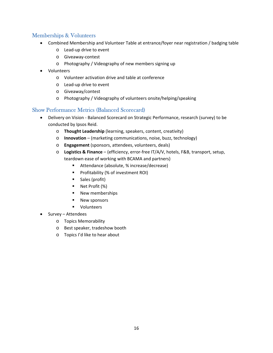#### Memberships & Volunteers

- Combined Membership and Volunteer Table at entrance/foyer near registration / badging table
	- o Lead‐up drive to event
	- o Giveaway‐contest
	- o Photography / Videography of new members signing up
- Volunteers
	- o Volunteer activation drive and table at conference
	- o Lead‐up drive to event
	- o Giveaway/contest
	- o Photography / Videography of volunteers onsite/helping/speaking

#### Show Performance Metrics (Balanced Scorecard)

- Delivery on Vision ‐ Balanced Scorecard on Strategic Performance, research (survey) to be conducted by Ipsos Reid.
	- o **Thought Leadership** (learning, speakers, content, creativity)
	- o **Innovation** (marketing communications, noise, buzz, technology)
	- o **Engagement** (sponsors, attendees, volunteers, deals)
	- o **Logistics & Finance** (efficiency, error‐free IT/A/V, hotels, F&B, transport, setup, teardown ease of working with BCAMA and partners)
		- Attendance (absolute, % increase/decrease)
		- **Profitability (% of investment ROI)**
		- **Sales (profit)**
		- Net Profit (%)
		- **New memberships**
		- **New sponsors**
		- **volunteers**
- Survey Attendees
	- o Topics Memorability
	- o Best speaker, tradeshow booth
	- o Topics I'd like to hear about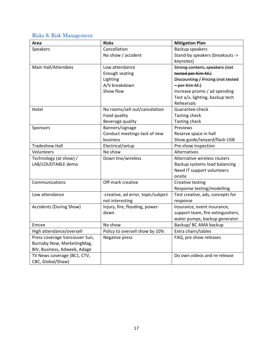# Risks & Risk Management

| Area                          | <b>Risks</b>                       | <b>Mitigation Plan</b>            |
|-------------------------------|------------------------------------|-----------------------------------|
| Speakers                      | Cancellation                       | Backup speakers                   |
|                               | No show / accident                 | Stand-by speakers (breakouts ->   |
|                               |                                    | keynotes)                         |
| Main Hall/Attendees           | Low attendance                     | Strong content, speakers (not     |
|                               | Enough seating                     | tested per Kim M.)                |
|                               | Lighting                           | Discounting / Pricing (not tested |
|                               | A/V breakdown                      | - per Kim M.)                     |
|                               | Show flow                          | Increase promo / ad spending      |
|                               |                                    | Test a/v, lighting, backup tech   |
|                               |                                    | Rehearsals                        |
| Hotel                         | No rooms/sell out/cancelation      | Guarantee-check                   |
|                               | Food quality                       | Tasting check                     |
|                               | Beverage quality                   | <b>Tasting check</b>              |
| Sponsors                      | Banners/signage                    | Previews                          |
|                               | Conduct meetings-lack of new       | Reserve space in hall             |
|                               | business                           | Show guide/lanyard/flash USB      |
| <b>Tradeshow Hall</b>         | Electrical/setup                   | Pre-show inspection               |
| Volunteers                    | No show                            | Alternatives                      |
| Technology (at show) /        | Down line/wireless                 | Alternative wireless routers      |
| LAB/LOUDTABLE demo            |                                    | Backup systems load balancing     |
|                               |                                    | Need IT support volunteers        |
|                               |                                    | onsite                            |
| Communications                | Off-mark creative                  | Creative testing                  |
|                               |                                    | Response testing/modelling        |
| Low attendance                | -creative, ad error, topic/subject | Test creative, ads, concepts for  |
|                               | not interesting                    | response                          |
| Accidents (During Show)       | Injury, fire, flooding, power-     | Insurance, event insurance,       |
|                               | down                               | support team, fire extinguishers, |
|                               |                                    | water pumps, backup generator     |
| Emcee                         | No show                            | Backup/ BC AMA backup             |
| High attendance/oversell      | Policy to oversell show by 10%     | Extra chairs/tables               |
| Press coverage Vancouver Sun, | Negative press                     | FAQ, pre show releases            |
| Burnaby Now, MarketingMag,    |                                    |                                   |
| BIV, Business, Adweek, Adage  |                                    |                                   |
| TV News coverage (BC1, CTV,   |                                    | Do own videos and re-release      |
| CBC, Global/Shaw)             |                                    |                                   |